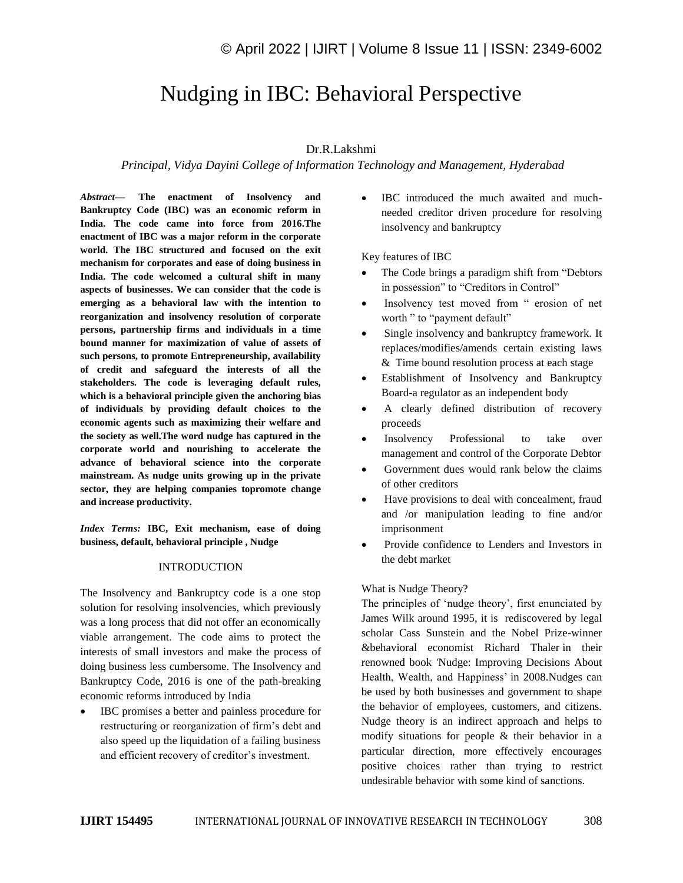# Nudging in IBC: Behavioral Perspective

## Dr.R.Lakshmi

## *Principal, Vidya Dayini College of Information Technology and Management, Hyderabad*

*Abstract—* **The enactment of Insolvency and Bankruptcy Code (IBC) was an economic reform in India. The code came into force from 2016.The enactment of IBC was a major reform in the corporate world. The IBC structured and focused on the exit mechanism for corporates and ease of doing business in India. The code welcomed a cultural shift in many aspects of businesses. We can consider that the code is emerging as a behavioral law with the intention to reorganization and insolvency resolution of corporate persons, partnership firms and individuals in a time bound manner for maximization of value of assets of such persons, to promote Entrepreneurship, availability of credit and safeguard the interests of all the stakeholders. The code is leveraging default rules, which is a behavioral principle given the anchoring bias of individuals by providing default choices to the economic agents such as maximizing their welfare and the society as well.The word nudge has captured in the corporate world and nourishing to accelerate the advance of behavioral science into the corporate mainstream. As nudge units growing up in the private sector, they are helping companies topromote change and increase productivity.**

*Index Terms:* **IBC, Exit mechanism, ease of doing business, default, behavioral principle , Nudge**

#### **INTRODUCTION**

The Insolvency and Bankruptcy code is a one stop solution for resolving insolvencies, which previously was a long process that did not offer an economically viable arrangement. The code aims to protect the interests of small investors and make the process of doing business less cumbersome. The Insolvency and Bankruptcy Code, 2016 is one of the path-breaking economic reforms introduced by India

 IBC promises a better and painless procedure for restructuring or reorganization of firm"s debt and also speed up the liquidation of a failing business and efficient recovery of creditor's investment.

 IBC introduced the much awaited and muchneeded creditor driven procedure for resolving insolvency and bankruptcy

Key features of IBC

- The Code brings a paradigm shift from "Debtors in possession" to "Creditors in Control"
- Insolvency test moved from " erosion of net worth " to "payment default"
- Single insolvency and bankruptcy framework. It replaces/modifies/amends certain existing laws & Time bound resolution process at each stage
- Establishment of Insolvency and Bankruptcy Board-a regulator as an independent body
- A clearly defined distribution of recovery proceeds
- Insolvency Professional to take over management and control of the Corporate Debtor
- Government dues would rank below the claims of other creditors
- Have provisions to deal with concealment, fraud and /or manipulation leading to fine and/or imprisonment
- Provide confidence to Lenders and Investors in the debt market

#### What is Nudge Theory?

The principles of "nudge theory", first enunciated by James Wilk around 1995, it is rediscovered by legal scholar Cass Sunstein and the Nobel Prize-winner &behavioral economist Richard Thaler in their renowned book *'*Nudge: Improving Decisions About Health, Wealth, and Happiness' in 2008.Nudges can be used by both businesses and government to shape the behavior of employees, customers, and citizens. Nudge theory is an indirect approach and helps to modify situations for people & their behavior in a particular direction, more effectively encourages positive choices rather than trying to restrict undesirable behavior with some kind of sanctions.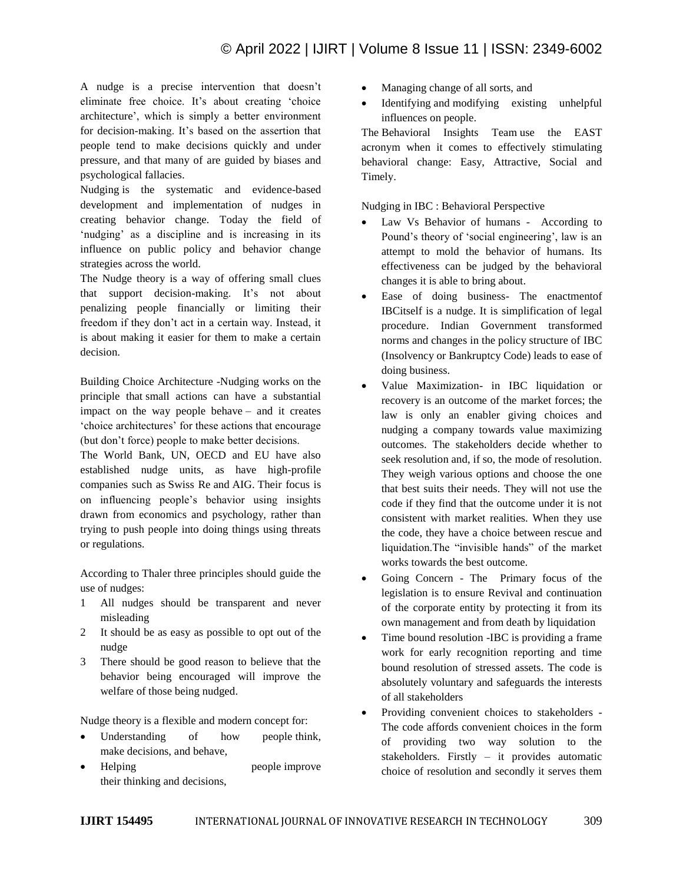A nudge is a precise intervention that doesn"t eliminate free choice. It's about creating 'choice architecture', which is simply a better environment for decision-making. It's based on the assertion that people tend to make decisions quickly and under pressure, and that many of are guided by biases and psychological fallacies.

Nudging is the systematic and evidence-based development and implementation of nudges in creating behavior change. Today the field of 'nudging' as a discipline and is increasing in its influence on public policy and behavior change strategies across the world.

The Nudge theory is a way of offering small clues that support decision-making. It's not about penalizing people financially or limiting their freedom if they don"t act in a certain way. Instead, it is about making it easier for them to make a certain decision.

Building Choice Architecture -Nudging works on the principle that small actions can have a substantial impact on the way people behave – and it creates 'choice architectures' for these actions that encourage (but don"t force) people to make better decisions.

The World Bank, UN, OECD and EU have also established nudge units, as have high-profile companies such as Swiss Re and AIG. Their focus is on influencing people"s behavior using insights drawn from economics and psychology, rather than trying to push people into doing things using threats or regulations.

According to Thaler three principles should guide the use of nudges:

- 1 All nudges should be transparent and never misleading
- 2 It should be as easy as possible to opt out of the nudge
- 3 There should be good reason to believe that the behavior being encouraged will improve the welfare of those being nudged.

Nudge theory is a flexible and modern concept for:

- Understanding of how people think, make decisions, and behave,
- Helping people improve their thinking and decisions,
- Managing change of all sorts, and
- Identifying and modifying existing unhelpful influences on people.

The Behavioral Insights Team use the EAST acronym when it comes to effectively stimulating behavioral change: Easy, Attractive, Social and Timely.

Nudging in IBC : Behavioral Perspective

- Law Vs Behavior of humans According to Pound's theory of 'social engineering', law is an attempt to mold the behavior of humans. Its effectiveness can be judged by the behavioral changes it is able to bring about.
- Ease of doing business- The enactmentof IBCitself is a nudge. It is simplification of legal procedure. Indian Government transformed norms and changes in the policy structure of IBC (Insolvency or Bankruptcy Code) leads to ease of doing business.
- Value Maximization- in IBC liquidation or recovery is an outcome of the market forces; the law is only an enabler giving choices and nudging a company towards value maximizing outcomes. The stakeholders decide whether to seek resolution and, if so, the mode of resolution. They weigh various options and choose the one that best suits their needs. They will not use the code if they find that the outcome under it is not consistent with market realities. When they use the code, they have a choice between rescue and liquidation.The "invisible hands" of the market works towards the best outcome.
- Going Concern The Primary focus of the legislation is to ensure Revival and continuation of the corporate entity by protecting it from its own management and from death by liquidation
- Time bound resolution -IBC is providing a frame work for early recognition reporting and time bound resolution of stressed assets. The code is absolutely voluntary and safeguards the interests of all stakeholders
- Providing convenient choices to stakeholders The code affords convenient choices in the form of providing two way solution to the stakeholders. Firstly – it provides automatic choice of resolution and secondly it serves them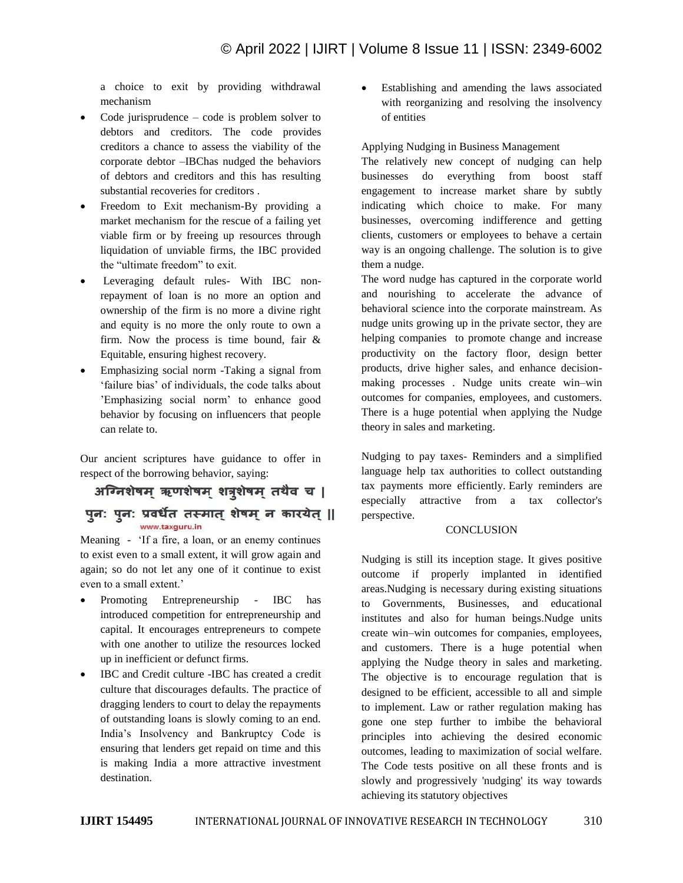a choice to exit by providing withdrawal mechanism

- Code jurisprudence code is problem solver to debtors and creditors. The code provides creditors a chance to assess the viability of the corporate debtor –IBChas nudged the behaviors of debtors and creditors and this has resulting substantial recoveries for creditors .
- Freedom to Exit mechanism-By providing a market mechanism for the rescue of a failing yet viable firm or by freeing up resources through liquidation of unviable firms, the IBC provided the "ultimate freedom" to exit.
- Leveraging default rules- With IBC nonrepayment of loan is no more an option and ownership of the firm is no more a divine right and equity is no more the only route to own a firm. Now the process is time bound, fair & Equitable, ensuring highest recovery.
- Emphasizing social norm -Taking a signal from 'failure bias' of individuals, the code talks about 'Emphasizing social norm' to enhance good behavior by focusing on influencers that people can relate to.

Our ancient scriptures have guidance to offer in respect of the borrowing behavior, saying:

अग्निशेषम ऋणशेषम शत्रशेषम तथैव च | पून: पून: प्रवर्धेत तस्मात् शेषम् न कारयेत् ||

Meaning - "If a fire, a loan, or an enemy continues to exist even to a small extent, it will grow again and again; so do not let any one of it continue to exist even to a small extent.'

www.taxguru.in

- Promoting Entrepreneurship IBC has introduced competition for entrepreneurship and capital. It encourages entrepreneurs to compete with one another to utilize the resources locked up in inefficient or defunct firms.
- IBC and Credit culture -IBC has created a credit culture that discourages defaults. The practice of dragging lenders to court to delay the repayments of outstanding loans is slowly coming to an end. India"s Insolvency and Bankruptcy Code is ensuring that lenders get repaid on time and this is making India a more attractive investment destination.

 Establishing and amending the laws associated with reorganizing and resolving the insolvency of entities

Applying Nudging in Business Management

The relatively new concept of nudging can help businesses do everything from boost staff engagement to increase market share by subtly indicating which choice to make. For many businesses, overcoming indifference and getting clients, customers or employees to behave a certain way is an ongoing challenge. The solution is to give them a nudge.

The word nudge has captured in the corporate world and nourishing to accelerate the advance of behavioral science into the corporate mainstream. As nudge units growing up in the private sector, they are helping companies to promote change and increase productivity on the factory floor, design better products, drive higher sales, and enhance decisionmaking processes . Nudge units create win–win outcomes for companies, employees, and customers. There is a huge potential when applying the Nudge theory in sales and marketing.

Nudging to pay taxes- Reminders and a simplified language help tax authorities to collect outstanding tax payments more efficiently. Early reminders are especially attractive from a tax collector's perspective.

## **CONCLUSION**

Nudging is still its inception stage. It gives positive outcome if properly implanted in identified areas.Nudging is necessary during existing situations to Governments, Businesses, and educational institutes and also for human beings.Nudge units create win–win outcomes for companies, employees, and customers. There is a huge potential when applying the Nudge theory in sales and marketing. The objective is to encourage regulation that is designed to be efficient, accessible to all and simple to implement. Law or rather regulation making has gone one step further to imbibe the behavioral principles into achieving the desired economic outcomes, leading to maximization of social welfare. The Code tests positive on all these fronts and is slowly and progressively 'nudging' its way towards achieving its statutory objectives